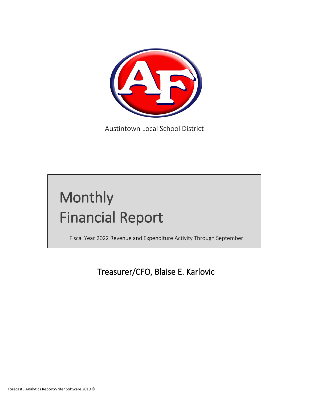

Austintown Local School District

# Monthly Financial Report

Fiscal Year 2022 Revenue and Expenditure Activity Through September

Treasurer/CFO, Blaise E. Karlovic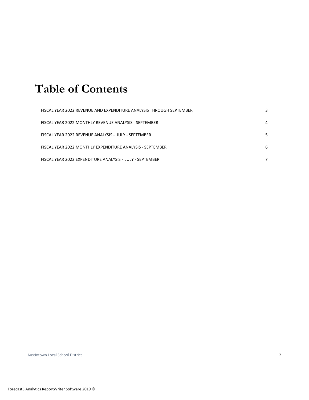## **Table of Contents**

| FISCAL YEAR 2022 REVENUE AND EXPENDITURE ANALYSIS THROUGH SEPTEMBER |   |
|---------------------------------------------------------------------|---|
| FISCAL YEAR 2022 MONTHLY REVENUE ANALYSIS - SEPTEMBER               | 4 |
| FISCAL YEAR 2022 REVENUE ANALYSIS - JULY - SEPTEMBER                |   |
| FISCAL YEAR 2022 MONTHLY EXPENDITURE ANALYSIS - SEPTEMBER           | 6 |
| FISCAL YEAR 2022 EXPENDITURE ANALYSIS - JULY - SEPTEMBER            |   |

Austintown Local School District 2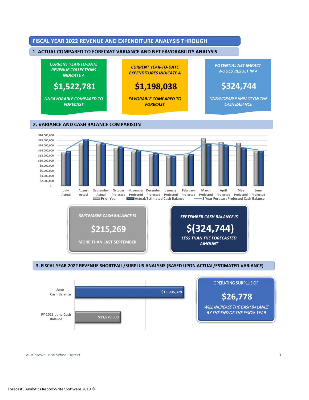

**MORE THAN LAST SEPTEMBER** *SEPTEMBER CASH BALANCE IS* **\$215,269** 

### *LESS THAN THE FORECASTED AMOUNT SEPTEMBER CASH BALANCE IS*  **\$(324,744)**

#### 3. FISCAL YEAR 2022 REVENUE SHORTFALL/SURPLUS ANALYSIS (BASED UPON ACTUAL/ESTIMATED VARIANCE) **3. FISCAL YEAR 2022 REVENUE SHORTFALL/SURPLUS ANALYSIS (BASED UPON ACTUAL/ESTIMATED VARIANCE)**



Austintown Local School District 3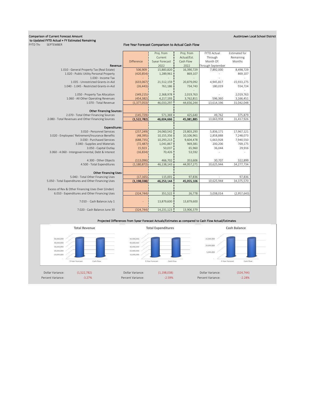### Comparison of Current Forecast Amount Austintown Local School District to Updated FYTD Actual + FY Estimated Remaining<br>FYTD Thi SEPTEMBER

#### Five Year Forecast Comparison to Actual Cash Flow

|                                                     |               | Proj. from            | Proj. from  | <b>FYTD Actual</b> | Estimated for |
|-----------------------------------------------------|---------------|-----------------------|-------------|--------------------|---------------|
|                                                     |               | Current               | Actual/Est. | Through            | Remaining     |
|                                                     | Difference    | <b>Syear Forecast</b> | Cash Flow   | Month Of:          | Months        |
| Revenue:                                            |               | 2022                  | 2022        | Through September  |               |
| 1.010 - General Property Tax (Real Estate)          | 506,909       | 15,883,820            | 16,390,729  | 7,892,000          | 8,498,729     |
| 1.020 - Public Utility Personal Property            | (420, 854)    | 1,289,961             | 869,107     |                    | 869,107       |
| 1.030 - Income Tax                                  |               |                       |             |                    |               |
| 1.035 - Unrestricted Grants-in-Aid                  | (633,067)     | 21,512,159            | 20,879,092  | 4,945,817          | 15,933,275    |
| 1.040 - 1.045 - Restricted Grants-in-Aid            | (26, 443)     | 761,186               | 734,743     | 180,019            | 554,724       |
|                                                     |               |                       |             |                    |               |
| 1.050 - Property Tax Allocation                     | (349, 215)    | 2,368,978             | 2,019,763   |                    | 2,019,763     |
| 1.060 - All Other Operating Revenues                | (454, 382)    | 4,217,193             | 3,762,811   | 596,360            | 3,166,451     |
| 1.070 - Total Revenue                               | (1, 377, 053) | 46,033,297            | 44,656,244  | 13,614,196         | 31,042,048    |
|                                                     |               |                       |             |                    |               |
| <b>Other Financing Sources:</b>                     |               |                       |             |                    |               |
| 2.070 - Total Other Financing Sources               | (145, 729)    | 571,369               | 425,640     | 49,762             | 375,879       |
| 2.080 - Total Revenues and Other Financing Sources  | (1,522,782)   | 46,604,666            | 45,081,885  | 13,663,958         | 31,417,926    |
|                                                     |               |                       |             |                    |               |
| <b>Expenditures:</b>                                |               |                       |             |                    |               |
| 3.010 - Personnel Services                          | (257, 249)    | 24,060,542            | 23,803,293  | 5,836,171          | 17,967,121    |
| 3.020 - Employees' Retirement/Insurance Benefits    | (48, 395)     | 10,155,356            | 10,106,961  | 2,858,888          | 7,248,073     |
| 3.030 - Purchased Services                          | (688, 735)    | 10,293,213            | 9,604,478   | 1,663,928          | 7,940,550     |
| 3.040 - Supplies and Materials                      | (72, 487)     | 1,041,867             | 969,381     | 200,206            | 769,175       |
| 3.050 - Capital Outlay                              | 15,923        | 50,037                | 65,960      | 36,044             | 29,916        |
| 3.060 - 4.060 - Intergovernmental, Debt & Interest  | (16, 834)     | 70,426                | 53,592      |                    |               |
|                                                     |               |                       |             |                    |               |
| 4.300 - Other Objects                               | (113,096)     | 466,702               | 353,606     | 30,707             | 322,899       |
| 4.500 - Total Expenditures                          | (1, 180, 872) | 46,138,143            | 44,957,271  | 10,625,944         | 34,277,734    |
|                                                     |               |                       |             |                    |               |
| <b>Other Financing Uses:</b>                        |               |                       |             |                    |               |
| 5.040 - Total Other Financing Uses                  | (17, 165)     | 115,001               | 97,836      |                    | 97,836        |
| 5.050 - Total Expenditures and Other Financing Uses | (1, 198, 038) | 46,253,144            | 45,055,106  | 10,625,944         | 34,375,570    |
| Excess of Rev & Other Financing Uses Over (Under)   |               |                       |             |                    |               |
| 6.010 - Expenditures and Other Financing Uses       | (324, 744)    | 351,522               | 26,778      | 3,038,014          | (2,957,643)   |
|                                                     |               |                       |             |                    |               |
| 7.010 - Cash Balance July 1                         |               | 13,879,600            | 13,879,600  |                    |               |
|                                                     |               |                       |             |                    |               |
| 7.020 - Cash Balance June 30                        | (324, 744)    | 14,231,123            | 13,906,379  |                    |               |
|                                                     |               |                       |             |                    |               |

#### Projected Differences from 5year Forecast Actuals/Estimates as compared to Cash Flow Actual/Estimates

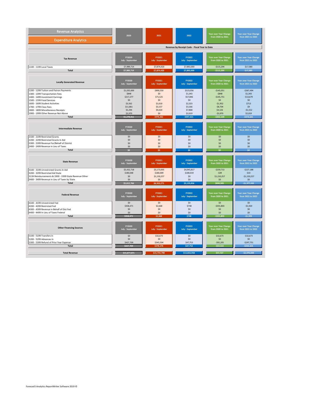| <b>Revenue Analytics</b>                                                                  | 2020<br>2021                                  |                                   | 2022                              | <b>Year over Year Change</b>               | Year over Year Change                             |  |  |  |  |
|-------------------------------------------------------------------------------------------|-----------------------------------------------|-----------------------------------|-----------------------------------|--------------------------------------------|---------------------------------------------------|--|--|--|--|
| <b>Expenditure Analytics</b>                                                              |                                               |                                   |                                   | from 2020 to 2021                          | from 2021 to 2022                                 |  |  |  |  |
|                                                                                           | Revenue by Receipt Code - Fiscal Year to Date |                                   |                                   |                                            |                                                   |  |  |  |  |
|                                                                                           |                                               |                                   |                                   |                                            |                                                   |  |  |  |  |
| <b>Tax Revenue</b>                                                                        | FY2020<br>July - September                    | FY2021<br><b>July - September</b> | FY2022<br><b>July - September</b> | Year over Year Change<br>from 2020 to 2021 | <b>Year over Year Change</b><br>from 2021 to 2022 |  |  |  |  |
| 1100 - 1199 Local Taxes                                                                   | \$7,989,714                                   | \$7,874,420                       | \$7,892,000                       | $-$115,294$                                | \$17,580                                          |  |  |  |  |
| <b>Total</b>                                                                              | \$7,989,714                                   | \$7,874,420                       | \$7,892,000                       | $-$115,294$                                | \$17,580                                          |  |  |  |  |
| <b>Locally Generated Revenue</b>                                                          | <b>FY2020</b><br><b>July - September</b>      | FY2021<br><b>July - September</b> | FY2022<br><b>July - September</b> | Year over Year Change<br>from 2020 to 2021 | Year over Year Change<br>from 2021 to 2022        |  |  |  |  |
| 1200 - 1299 Tuition and Patron Payments                                                   | \$1,035,600                                   | \$890,550                         | \$523,056                         | $-$145,051$<br>$-$ \$848                   | $-$367,494$                                       |  |  |  |  |
| 1300 - 1399 Transportation Fees<br>1400 - 1499 Investment Earnings                        | \$848<br>\$217,277                            | \$0<br>\$71,525                   | \$1,343<br>\$57,846               | $-$145,751$                                | \$1,343<br>$-$13,679$                             |  |  |  |  |
| 1500 - 1599 Food Services                                                                 | \$0                                           | \$0                               | \$0                               | \$0                                        | \$0                                               |  |  |  |  |
| 1600 - 1699 Student Activities                                                            | \$3,562                                       | \$1,610                           | \$2,323                           | $-$1,952$                                  | \$713                                             |  |  |  |  |
| 1700 - 1799 Class Fees                                                                    | \$11,861                                      | \$3,157                           | \$3,166                           | $-$8,704$                                  | \$9                                               |  |  |  |  |
| 1800 - 1899 Miscellaneous Receipts                                                        | \$5,294                                       | \$9,420                           | \$7,868                           | \$4,126                                    | $-$1,552$                                         |  |  |  |  |
| 1900 - 1999 Other Revenue Not Above<br><b>Total</b>                                       | \$3,970<br>\$1,278,411                        | \$0<br>\$976,262                  | \$2,019<br>\$597,621              | $-$3,970$<br>\$302,149                     | \$2,019<br>\$378,641                              |  |  |  |  |
|                                                                                           |                                               |                                   |                                   |                                            |                                                   |  |  |  |  |
| <b>Intermediate Revenue</b>                                                               | FY2020<br>July - September                    | FY2021<br><b>July - September</b> | FY2022<br><b>July - September</b> | Year over Year Change<br>from 2020 to 2021 | Year over Year Change<br>from 2021 to 2022        |  |  |  |  |
| 2100 - 2199 Restricted Grants                                                             | \$0                                           | \$0                               | \$0                               | \$0                                        | \$0                                               |  |  |  |  |
| 2200 - 2299 Restricted Grants In Aid<br>2300 - 2399 Revenue For/Behalf of District        | \$0<br>\$0                                    | \$0<br>\$0                        | \$0<br>\$0                        | \$0<br>\$0                                 | \$0<br>\$0                                        |  |  |  |  |
| 2400 - 2499 Revenue in Lieu of Taxes                                                      | \$0                                           | \$0                               | \$0                               | \$0                                        | \$0                                               |  |  |  |  |
| <b>Total</b>                                                                              | \$0                                           | \$0                               | \$0                               | Ś۵                                         | \$0                                               |  |  |  |  |
|                                                                                           |                                               |                                   |                                   |                                            |                                                   |  |  |  |  |
| <b>State Revenue</b>                                                                      | FY2020<br>July - September                    | FY2021<br><b>July - September</b> | FY2022<br><b>July - September</b> | Year over Year Change<br>from 2020 to 2021 | <b>Year over Year Change</b><br>from 2021 to 2022 |  |  |  |  |
| 3100 - 3199 Unrestricted Grants In Aid                                                    | \$5,432,718                                   | \$5,173,005                       | \$4,945,817                       | $-$259,713$                                | $-$227,188$                                       |  |  |  |  |
| 3200 - 3299 Restricted Aid State<br>313X Reimbursements & 3300 - 3399 State Revenue Other | \$180,048<br>\$0                              | \$180,009<br>\$1,150,257          | \$180,019<br>\$0                  | $-539$<br>\$1,150,257                      | \$10<br>$-$1,150,257$                             |  |  |  |  |
| 3400 - 3499 Revenue in Lieu of Taxes by State                                             | \$0                                           | \$0                               | \$0                               | \$0                                        | \$0                                               |  |  |  |  |
| Total                                                                                     | \$5,612,766                                   | \$6,503,271                       | \$5,125,836                       | \$890,505                                  | $-51,377,435$                                     |  |  |  |  |
|                                                                                           |                                               |                                   |                                   |                                            |                                                   |  |  |  |  |
| <b>Federal Revenue</b>                                                                    | FY2020<br>July - September                    | FY2021<br><b>July - September</b> | FY2022<br><b>July - September</b> | Year over Year Change<br>from 2020 to 2021 | <b>Year over Year Change</b><br>from 2021 to 2022 |  |  |  |  |
| 4100 - 4199 Unrestricted Fed                                                              | \$0                                           | \$0                               | \$0                               | \$0                                        | \$0                                               |  |  |  |  |
| 4200 - 4299 Restricted Fed<br>4300 - 4399 Revenue in Behalf of Dist Fed                   | \$358,471<br>\$0                              | \$2,668<br>\$0                    | \$748<br>\$0                      | $-$355,803$<br>\$0                         | $-$1,920$<br>\$0                                  |  |  |  |  |
| 4400 - 4499 In Lieu of Taxes Federal                                                      | \$0                                           | \$0                               | \$0                               | \$0                                        | \$0                                               |  |  |  |  |
| <b>Total</b>                                                                              | \$358,471                                     | \$2,668                           | \$748                             | $- $355,803$                               | $-$1,920$                                         |  |  |  |  |
| <b>Other Financing Sources</b>                                                            | FY2020<br>July - September                    | FY2021<br><b>July - September</b> | FY2022<br><b>July - September</b> | Year over Year Change<br>from 2020 to 2021 | Year over Year Change<br>from 2021 to 2022        |  |  |  |  |
| 5100 - 5199 Transfers In                                                                  | \$0                                           | \$32,673                          | \$0                               | \$32,673                                   | $-$32,673$                                        |  |  |  |  |
| 5200 - 5299 Advances In<br>5300 - 5399 Refund of Prior Year Expense                       | \$0<br>\$437,709                              | \$0<br>\$345,504                  | \$0<br>\$47,753                   | \$0<br>$-$92,205$                          | $$0$<br>$-$297,751$                               |  |  |  |  |
| <b>Total</b>                                                                              | \$437,709                                     | \$378,178                         | \$47,753                          | -\$59.532                                  | $-$ \$330,424                                     |  |  |  |  |
|                                                                                           |                                               |                                   |                                   |                                            |                                                   |  |  |  |  |
| <b>Total Revenue</b>                                                                      | \$15,677,071                                  | \$15,734,798                      | \$13,663,958                      | \$57,727                                   | $-$2,070,840$                                     |  |  |  |  |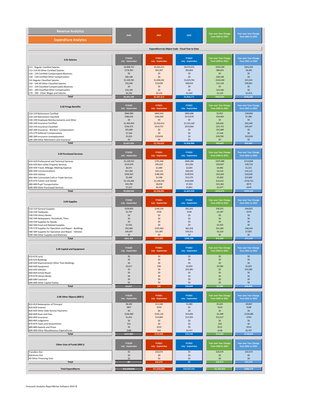| <b>Revenue Analytics</b>                                                                                                                                                                                                                                                                                                                                             | 2020                                                                                                                                                       | 2021                                                                                                                                                          | 2022                                                                                                                                                         | <b>Year over Year Change</b>                                                                                                                                                     | <b>Year over Year Change</b>                                                                                                                                                      |  |
|----------------------------------------------------------------------------------------------------------------------------------------------------------------------------------------------------------------------------------------------------------------------------------------------------------------------------------------------------------------------|------------------------------------------------------------------------------------------------------------------------------------------------------------|---------------------------------------------------------------------------------------------------------------------------------------------------------------|--------------------------------------------------------------------------------------------------------------------------------------------------------------|----------------------------------------------------------------------------------------------------------------------------------------------------------------------------------|-----------------------------------------------------------------------------------------------------------------------------------------------------------------------------------|--|
| <b>Expenditure Analytics</b>                                                                                                                                                                                                                                                                                                                                         |                                                                                                                                                            |                                                                                                                                                               |                                                                                                                                                              | from 2020 to 2021                                                                                                                                                                | from 2021 to 2022                                                                                                                                                                 |  |
|                                                                                                                                                                                                                                                                                                                                                                      |                                                                                                                                                            |                                                                                                                                                               | Expenditure by Object Code - Fiscal Year to Date                                                                                                             |                                                                                                                                                                                  |                                                                                                                                                                                   |  |
| 3.01 Salaries<br>111 - Regular Certified Salaries<br>112-119 All Other Certified Salaries<br>120 - 129 Certified Compensated Absences                                                                                                                                                                                                                                | FY2020<br>July - September<br>\$4,898,752<br>\$176,961<br>\$0                                                                                              | FY2021<br><b>July - September</b><br>\$4,365,412<br>\$92,307<br>\$0                                                                                           | FY2022<br><b>July - September</b><br>\$4,670,432<br>\$85,826<br>\$0                                                                                          | Year over Year Change<br>from 2020 to 2021<br>$-$533,339$<br>$-$ \$84,655<br>\$0                                                                                                 | <b>Year over Year Change</b><br>from 2021 to 2022<br>\$305,020<br>$-$6,481$<br>\$0                                                                                                |  |
| 130 - 139 Certified Other Compensation                                                                                                                                                                                                                                                                                                                               | \$90,198                                                                                                                                                   | \$0                                                                                                                                                           | \$0                                                                                                                                                          | $-$90,198$                                                                                                                                                                       | \$0                                                                                                                                                                               |  |
| 141 Regular Classified Salaries                                                                                                                                                                                                                                                                                                                                      | \$1,169,781                                                                                                                                                | \$1,006,541                                                                                                                                                   | \$1.029.745                                                                                                                                                  | $-$163,240$                                                                                                                                                                      | \$23,204                                                                                                                                                                          |  |
| 142 - 149 All Other Classified Salaries                                                                                                                                                                                                                                                                                                                              | \$32,046                                                                                                                                                   | \$19,928                                                                                                                                                      | \$48,919                                                                                                                                                     | $-$12,118$                                                                                                                                                                       | \$28,991                                                                                                                                                                          |  |
| 151 - 159 Classified Compensated Absences                                                                                                                                                                                                                                                                                                                            | \$0                                                                                                                                                        | \$0                                                                                                                                                           | \$0                                                                                                                                                          | \$0                                                                                                                                                                              | \$0                                                                                                                                                                               |  |
| 161 - 169 Classified Other Compensation                                                                                                                                                                                                                                                                                                                              | \$19,160                                                                                                                                                   | \$0                                                                                                                                                           | \$0                                                                                                                                                          | $-$19,160$                                                                                                                                                                       | \$0                                                                                                                                                                               |  |
| 170 - 190 - Other Wages and Salaries                                                                                                                                                                                                                                                                                                                                 | \$4,250                                                                                                                                                    | \$3,125                                                                                                                                                       | \$1,250                                                                                                                                                      | $-$1,125$                                                                                                                                                                        | $-$1,875$                                                                                                                                                                         |  |
| <b>Total</b>                                                                                                                                                                                                                                                                                                                                                         | \$6,391,148                                                                                                                                                | \$5,487,313                                                                                                                                                   | \$5,836,171                                                                                                                                                  | \$903.835                                                                                                                                                                        | \$348,858                                                                                                                                                                         |  |
| 3.02 Fringe Benefits                                                                                                                                                                                                                                                                                                                                                 | FY2020                                                                                                                                                     | FY2021                                                                                                                                                        | FY2022                                                                                                                                                       | Year over Year Change                                                                                                                                                            | Year over Year Change                                                                                                                                                             |  |
|                                                                                                                                                                                                                                                                                                                                                                      | July - September                                                                                                                                           | <b>July - September</b>                                                                                                                                       | <b>July - September</b>                                                                                                                                      | from 2020 to 2021                                                                                                                                                                | from 2021 to 2022                                                                                                                                                                 |  |
| 210-219 Retirement Certified<br>220-229 Retirement Classified<br>230-239 Employee Reimbursements and Other<br>240-249 Insurance Certified<br>250-259 Insurance Classified<br>260-269 Insurance - Workers' Compensation<br>270-279 Deferred Compensation<br>280-289 Insurance Unemployment<br>290-299 Other Retirement and Insurance<br><b>Total</b>                  | \$840,090<br>\$286,635<br>\$0<br>\$1,405,954<br>\$236,472<br>\$55,689<br>\$7,164<br>\$5,019<br>\$0<br>\$2,837,023                                          | \$845,542<br>\$266,692<br>\$0<br>\$1,432,613<br>\$214,757<br>\$0<br>\$0<br>\$33,818<br>\$0<br>\$2,793,422                                                     | \$805,686<br>\$273,978<br>\$0<br>\$1,525,160<br>\$254,064<br>\$0<br>\$0<br>\$0<br>\$0<br>\$2,858,888                                                         | \$5,452<br>$-$19,943$<br>\$0<br>\$26,659<br>$-$21,715$<br>$-$55,689$<br>$-57,164$<br>\$28,799<br>\$0                                                                             | $-$39,856$<br>\$7,286<br>\$0<br>\$92,548<br>\$39,307<br>\$0<br>\$0<br>$-$33,818$<br>\$0<br>\$65,466                                                                               |  |
| 3.03 Purchased Services<br>410-419 Professional and Technical Services<br>420-429 Non-utility Property Services<br>430-439 Travel, Mileage, Meeting Expense<br>440-449 Communications<br>450-459 Utilities<br>460-469 Contracted Craft or Trade Services<br>470-479 Tuition and Similar<br>480-489 Pupil Transportation<br>490-499 Other Purchased Services<br>Total | FY2020<br>July - September<br>\$1,128,532<br>\$124,070<br>\$6,071<br>\$27,264<br>\$204,567<br>\$5,408<br>\$1,135,446<br>\$29,790<br>\$7,417<br>\$2,668,564 | FY2021<br><b>July - September</b><br>\$791,446<br>\$95,023<br>\$1,089<br>\$24,114<br>\$180,303<br>\$1,588<br>\$1,149,760<br>\$8,428<br>\$6,340<br>\$2,258,091 | FY2022<br><b>July - September</b><br>\$906.284<br>\$55,290<br>\$2,604<br>\$38,226<br>\$199,931<br>\$15,270<br>\$433,009<br>\$7,453<br>\$5,861<br>\$1,663,928 | Year over Year Change<br>from 2020 to 2021<br>$-$337,086$<br>$-$29,047$<br>$-$4,982$<br>$-$3,150$<br>$-$24,264$<br>$-$3,820$<br>\$14,314<br>$-$21,362$<br>$-$1,077$<br>\$410,473 | <b>Year over Year Change</b><br>from 2021 to 2022<br>\$114,838<br>$-$39,733$<br>\$1,515<br>\$14,112<br>\$19,628<br>\$13,682<br>$-$716,751$<br>$-$975$<br>$-5479$<br>$-$ \$594,163 |  |
| 3.04 Supplies                                                                                                                                                                                                                                                                                                                                                        | FY2020                                                                                                                                                     | FY2021                                                                                                                                                        | FY2022                                                                                                                                                       | Year over Year Change                                                                                                                                                            | Year over Year Change                                                                                                                                                             |  |
|                                                                                                                                                                                                                                                                                                                                                                      | July - September                                                                                                                                           | <b>July - September</b>                                                                                                                                       | <b>July - September</b>                                                                                                                                      | from 2020 to 2021                                                                                                                                                                | from 2021 to 2022                                                                                                                                                                 |  |
| 510-519 General Supplies                                                                                                                                                                                                                                                                                                                                             | \$109,803                                                                                                                                                  | \$140,154                                                                                                                                                     | \$95,332                                                                                                                                                     | \$30,351                                                                                                                                                                         | $-$44,822$                                                                                                                                                                        |  |
| 520-529 Textbooks                                                                                                                                                                                                                                                                                                                                                    | \$2,707                                                                                                                                                    | \$520                                                                                                                                                         | \$244                                                                                                                                                        | $-$2,187$                                                                                                                                                                        | $-$276$                                                                                                                                                                           |  |
| 530-539 Library Books                                                                                                                                                                                                                                                                                                                                                | \$0                                                                                                                                                        | \$0                                                                                                                                                           | \$0                                                                                                                                                          | \$0                                                                                                                                                                              | \$0                                                                                                                                                                               |  |
| 540-549 Newspapers, Periodicals, Films                                                                                                                                                                                                                                                                                                                               | \$0                                                                                                                                                        | \$0                                                                                                                                                           | \$0                                                                                                                                                          | \$0                                                                                                                                                                              | \$0                                                                                                                                                                               |  |
| 550-559 Supplies for Resale                                                                                                                                                                                                                                                                                                                                          | \$0                                                                                                                                                        | \$0                                                                                                                                                           | \$0                                                                                                                                                          | \$0                                                                                                                                                                              | \$0                                                                                                                                                                               |  |
| 560-569 Food and Related Supplies                                                                                                                                                                                                                                                                                                                                    | \$1,635                                                                                                                                                    | \$0                                                                                                                                                           | \$0                                                                                                                                                          | $-$1,635$                                                                                                                                                                        | \$0                                                                                                                                                                               |  |
| 570-579 Supplies for Operation and Repair - Buildings                                                                                                                                                                                                                                                                                                                | \$50,380                                                                                                                                                   | \$101,663                                                                                                                                                     | \$65,318                                                                                                                                                     | \$51,283                                                                                                                                                                         | $-$36,345$                                                                                                                                                                        |  |
| 580-589 Supplies for Operation and Repair - Vehicles                                                                                                                                                                                                                                                                                                                 | \$36,697                                                                                                                                                   | \$31,487                                                                                                                                                      | \$39,312                                                                                                                                                     | $-$5,210$                                                                                                                                                                        | \$7,825                                                                                                                                                                           |  |
| 590-599 Other Supplies and Materials                                                                                                                                                                                                                                                                                                                                 | \$0                                                                                                                                                        | \$0                                                                                                                                                           | \$0                                                                                                                                                          | \$0                                                                                                                                                                              | \$0                                                                                                                                                                               |  |
| <b>Total</b>                                                                                                                                                                                                                                                                                                                                                         | \$201,222                                                                                                                                                  | \$273,825                                                                                                                                                     | \$200,206                                                                                                                                                    | \$72,603                                                                                                                                                                         | $-573,619$                                                                                                                                                                        |  |
| 3.05 Capital and Equipment                                                                                                                                                                                                                                                                                                                                           | FY2020                                                                                                                                                     | FY2021                                                                                                                                                        | FY2022                                                                                                                                                       | Year over Year Change                                                                                                                                                            | Year over Year Change                                                                                                                                                             |  |
|                                                                                                                                                                                                                                                                                                                                                                      | July - September                                                                                                                                           | <b>July - September</b>                                                                                                                                       | <b>July - September</b>                                                                                                                                      | from 2020 to 2021                                                                                                                                                                | from 2021 to 2022                                                                                                                                                                 |  |
| 610-619 Land                                                                                                                                                                                                                                                                                                                                                         | \$0                                                                                                                                                        | \$0                                                                                                                                                           | \$0                                                                                                                                                          | \$0                                                                                                                                                                              | \$0                                                                                                                                                                               |  |
| 620-629 Buildings                                                                                                                                                                                                                                                                                                                                                    | \$0                                                                                                                                                        | \$0                                                                                                                                                           | \$0                                                                                                                                                          | \$0                                                                                                                                                                              | \$0                                                                                                                                                                               |  |
| 630-639 Improvements Other Than Buildings                                                                                                                                                                                                                                                                                                                            | \$0                                                                                                                                                        | \$0                                                                                                                                                           | \$0                                                                                                                                                          | \$0                                                                                                                                                                              | \$0                                                                                                                                                                               |  |
| 640-649 Equipment                                                                                                                                                                                                                                                                                                                                                    | \$3,617                                                                                                                                                    | \$36                                                                                                                                                          | \$2,659                                                                                                                                                      | $-$3,582$                                                                                                                                                                        | \$2,623                                                                                                                                                                           |  |
| 650-659 Vehicles                                                                                                                                                                                                                                                                                                                                                     | \$0                                                                                                                                                        | \$0                                                                                                                                                           | \$33,385                                                                                                                                                     | \$0                                                                                                                                                                              | \$33,385                                                                                                                                                                          |  |
| 660-669 School Buses                                                                                                                                                                                                                                                                                                                                                 | \$0                                                                                                                                                        | \$0                                                                                                                                                           | \$0                                                                                                                                                          | \$0                                                                                                                                                                              | \$0                                                                                                                                                                               |  |
| 670-679 Library Books                                                                                                                                                                                                                                                                                                                                                | \$0                                                                                                                                                        | \$0                                                                                                                                                           | \$0                                                                                                                                                          | \$0                                                                                                                                                                              | \$0                                                                                                                                                                               |  |
| 680-689 Livestock                                                                                                                                                                                                                                                                                                                                                    | \$0                                                                                                                                                        | \$0                                                                                                                                                           | \$0                                                                                                                                                          | \$0                                                                                                                                                                              | \$0                                                                                                                                                                               |  |
| 690-699 Other Capital Outlay                                                                                                                                                                                                                                                                                                                                         | \$0                                                                                                                                                        | \$0                                                                                                                                                           | \$0                                                                                                                                                          | \$0                                                                                                                                                                              | \$0                                                                                                                                                                               |  |
| <b>Total</b>                                                                                                                                                                                                                                                                                                                                                         | \$3,617                                                                                                                                                    | \$36                                                                                                                                                          | \$36,044                                                                                                                                                     | \$3,582                                                                                                                                                                          | \$36,008                                                                                                                                                                          |  |
| 3.06 Other Objects (800's)                                                                                                                                                                                                                                                                                                                                           | <b>FY2020</b>                                                                                                                                              | FY2021                                                                                                                                                        | FY2022                                                                                                                                                       | Year over Year Change                                                                                                                                                            | Year over Year Change                                                                                                                                                             |  |
|                                                                                                                                                                                                                                                                                                                                                                      | <b>July - September</b>                                                                                                                                    | <b>July - September</b>                                                                                                                                       | <b>July - September</b>                                                                                                                                      | from 2020 to 2021                                                                                                                                                                | from 2021 to 2022                                                                                                                                                                 |  |
| 810-819 Redemption of Principal                                                                                                                                                                                                                                                                                                                                      | \$8,104                                                                                                                                                    | \$11,328                                                                                                                                                      | \$1,480                                                                                                                                                      | \$3,224                                                                                                                                                                          | $-$9,847$                                                                                                                                                                         |  |
| 820-829 Interest                                                                                                                                                                                                                                                                                                                                                     | \$807                                                                                                                                                      | \$554                                                                                                                                                         | \$6                                                                                                                                                          | $-$253$                                                                                                                                                                          | $-$ \$548                                                                                                                                                                         |  |
| 830-839 Other Debt Service Payments                                                                                                                                                                                                                                                                                                                                  | \$0                                                                                                                                                        | \$0                                                                                                                                                           | \$0                                                                                                                                                          | \$0                                                                                                                                                                              | \$0                                                                                                                                                                               |  |
| 840-849 Dues and Fees                                                                                                                                                                                                                                                                                                                                                | \$146,480                                                                                                                                                  | \$145,132                                                                                                                                                     | \$14,646                                                                                                                                                     | $-$1,348$                                                                                                                                                                        | $-$130,486$                                                                                                                                                                       |  |
| 850-859 Insurance                                                                                                                                                                                                                                                                                                                                                    | \$1,452                                                                                                                                                    | \$13,069                                                                                                                                                      | \$12,305                                                                                                                                                     | \$11,617                                                                                                                                                                         | $-5764$                                                                                                                                                                           |  |
| 860-869 Judgments                                                                                                                                                                                                                                                                                                                                                    | \$0                                                                                                                                                        | \$0                                                                                                                                                           | \$0                                                                                                                                                          | \$0                                                                                                                                                                              | \$0                                                                                                                                                                               |  |
| 870-879 Taxes and Assessments                                                                                                                                                                                                                                                                                                                                        | \$53                                                                                                                                                       | \$0                                                                                                                                                           | \$0                                                                                                                                                          | $-$ \$53                                                                                                                                                                         | \$0                                                                                                                                                                               |  |
| 880-889 Awards and Prizes                                                                                                                                                                                                                                                                                                                                            | \$0                                                                                                                                                        | \$513                                                                                                                                                         | \$0                                                                                                                                                          | \$513                                                                                                                                                                            | $-$ \$513                                                                                                                                                                         |  |
| 890-899 Other Miscellaneous Expenditures                                                                                                                                                                                                                                                                                                                             | \$186                                                                                                                                                      | \$50                                                                                                                                                          | \$3,757                                                                                                                                                      | $-$136$                                                                                                                                                                          | \$3,707                                                                                                                                                                           |  |
| <b>Total</b>                                                                                                                                                                                                                                                                                                                                                         | \$157,082                                                                                                                                                  | \$170,645                                                                                                                                                     | \$32,194                                                                                                                                                     | \$13.563                                                                                                                                                                         | $-5138,452$                                                                                                                                                                       |  |
| Other Uses of Funds (900's)<br><b>Transfers Out</b>                                                                                                                                                                                                                                                                                                                  | FY2020<br><b>July - September</b><br>\$0                                                                                                                   | FY2021<br><b>July - September</b><br>\$32,673                                                                                                                 | FY2022<br><b>July - September</b><br>\$0                                                                                                                     | Year over Year Change<br>from 2020 to 2021<br>\$32,673                                                                                                                           | Year over Year Change<br>from 2021 to 2022<br>$-$32,673$                                                                                                                          |  |
| Advances Out                                                                                                                                                                                                                                                                                                                                                         | \$0                                                                                                                                                        | \$0                                                                                                                                                           | \$0                                                                                                                                                          | \$0                                                                                                                                                                              | \$0                                                                                                                                                                               |  |
| All Other Financing Uses                                                                                                                                                                                                                                                                                                                                             | \$0                                                                                                                                                        | \$0                                                                                                                                                           | \$0                                                                                                                                                          | \$0                                                                                                                                                                              | \$0                                                                                                                                                                               |  |
| <b>Total</b>                                                                                                                                                                                                                                                                                                                                                         | \$0                                                                                                                                                        | \$32,673                                                                                                                                                      | \$0                                                                                                                                                          | \$32.673                                                                                                                                                                         | $-$32,673$                                                                                                                                                                        |  |
| <b>Total Expenditures</b>                                                                                                                                                                                                                                                                                                                                            | \$12,258,656                                                                                                                                               | \$11,016,005                                                                                                                                                  | \$10,627,431                                                                                                                                                 | $-$1,242,652$                                                                                                                                                                    | $- $388,574$                                                                                                                                                                      |  |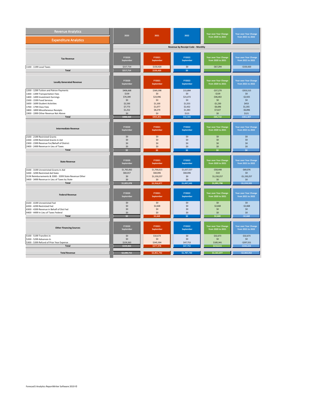<span id="page-6-0"></span>

| <b>Revenue Analytics</b>                                                                               | 2020                       | 2021                   | 2022                       | Year over Year Change<br>from 2020 to 2021        | <b>Year over Year Change</b>                      |  |
|--------------------------------------------------------------------------------------------------------|----------------------------|------------------------|----------------------------|---------------------------------------------------|---------------------------------------------------|--|
| <b>Expenditure Analytics</b>                                                                           |                            |                        |                            |                                                   | from 2021 to 2022                                 |  |
|                                                                                                        |                            |                        |                            |                                                   |                                                   |  |
|                                                                                                        |                            |                        |                            |                                                   |                                                   |  |
| <b>Tax Revenue</b>                                                                                     | <b>FY2020</b><br>September | FY2021<br>September    | FY2022<br>September        | Year over Year Change<br>from 2020 to 2021        | <b>Year over Year Change</b><br>from 2021 to 2022 |  |
| 1100 - 1199 Local Taxes<br><b>Total</b>                                                                | \$217,714<br>\$217,714     | \$150,420<br>\$150,420 | \$0<br>\$0                 | $-$67,294$                                        | $-$150,420$                                       |  |
|                                                                                                        |                            |                        |                            |                                                   |                                                   |  |
| <b>Locally Generated Revenue</b>                                                                       | FY2020<br>September        | FY2021<br>September    | FY2022<br><b>September</b> | <b>Year over Year Change</b><br>from 2020 to 2021 | <b>Year over Year Change</b><br>from 2021 to 2022 |  |
| 1200 - 1299 Tuition and Patron Payments                                                                | \$406,668                  | \$369,398              | \$15,884                   | $-$37,270$                                        | $- $353,515$                                      |  |
| 1300 - 1399 Transportation Fees<br>1400 - 1499 Investment Earnings                                     | \$139<br>\$70,399          | \$0<br>\$23,996        | \$0<br>\$21,072            | $-$139$<br>$-$46,402$                             | \$0<br>$-$2,925$                                  |  |
| 1500 - 1599 Food Services                                                                              | \$0                        | \$0                    | \$0                        | \$0                                               | \$0                                               |  |
| 1600 - 1699 Student Activities                                                                         | \$2,330<br>\$7,773         | \$1,100<br>\$1,077     | \$1,553<br>\$2,432         | $-$1,230$<br>$-$6,696$                            | \$453<br>\$1,355                                  |  |
| 1700 - 1799 Class Fees<br>1800 - 1899 Miscellaneous Receipts                                           | \$1,252                    | \$8,279                | \$1,383                    | \$7,027                                           | $-$6,896$                                         |  |
| 1900 - 1999 Other Revenue Not Above                                                                    | \$0                        | \$0                    | \$121                      | \$0                                               | \$121                                             |  |
| <b>Total</b>                                                                                           | \$488,560                  | \$403,851              | \$42,444                   | \$84.710                                          | \$361,407                                         |  |
|                                                                                                        |                            |                        |                            |                                                   |                                                   |  |
| <b>Intermediate Revenue</b>                                                                            | FY2020<br>September        | FY2021<br>September    | FY2022<br><b>September</b> | Year over Year Change<br>from 2020 to 2021        | <b>Year over Year Change</b><br>from 2021 to 2022 |  |
| 2100 - 2199 Restricted Grants<br>2200 - 2299 Restricted Grants In Aid                                  | \$0<br>\$0                 | \$0<br>\$0             | \$0<br>\$0                 | \$0<br>\$0                                        | \$0<br>\$0                                        |  |
| 2300 - 2399 Revenue For/Behalf of District                                                             | \$0                        | \$0                    | \$0                        | \$0                                               | \$0                                               |  |
| 2400 - 2499 Revenue in Lieu of Taxes                                                                   | \$0                        | \$0                    | \$0                        | \$0                                               | \$0                                               |  |
| Total                                                                                                  | \$0                        | \$0                    | \$0                        | \$0                                               | $\overline{50}$                                   |  |
| <b>State Revenue</b>                                                                                   | FY2020<br>September        | FY2021<br>September    | FY2022<br><b>September</b> | Year over Year Change<br>from 2020 to 2021        | <b>Year over Year Change</b><br>from 2021 to 2022 |  |
| 3100 - 3199 Unrestricted Grants In Aid                                                                 | \$1,765,062                | \$1,706,613            | \$1,637,537                | $-$58,448$                                        | $-$69,076$                                        |  |
| 3200 - 3299 Restricted Aid State                                                                       | \$60,017                   | \$60,006               | \$60,006                   | $-510$                                            | \$0                                               |  |
| 313X Reimbursements & 3300 - 3399 State Revenue Other<br>3400 - 3499 Revenue in Lieu of Taxes by State | \$0<br>\$0                 | \$1,150,257<br>\$0     | \$0<br>\$0                 | \$1,150,257<br>\$0                                | $-$1,150,257$<br>\$0                              |  |
| <b>Total</b>                                                                                           | \$1,825,078                | \$2,916,877            | \$1,697,543                | \$1,091,798                                       | $-$1,219,333$                                     |  |
|                                                                                                        |                            |                        |                            |                                                   |                                                   |  |
| <b>Federal Revenue</b>                                                                                 | FY2020<br>September        | FY2021<br>September    | FY2022<br>September        | <b>Year over Year Change</b><br>from 2020 to 2021 | <b>Year over Year Change</b><br>from 2021 to 2022 |  |
| 4100 - 4199 Unrestricted Fed                                                                           | \$0                        | \$0                    | \$0                        | \$0                                               | \$0                                               |  |
| 4200 - 4299 Restricted Fed<br>4300 - 4399 Revenue in Behalf of Dist Fed                                | \$0<br>\$0                 | \$2,668<br>\$0         | \$0<br>\$0                 | \$2,668<br>\$0                                    | $-52.668$<br>\$0                                  |  |
| 4400 - 4499 In Lieu of Taxes Federal                                                                   | \$0                        | \$0                    | \$0                        | \$0                                               | \$0                                               |  |
| <b>Total</b>                                                                                           | \$0                        | \$2,668                | \$0                        | ጳን ፍ                                              | \$2.668                                           |  |
| <b>Other Financing Sources</b>                                                                         | FY2020<br>September        | FY2021<br>September    | FY2022<br>September        | Year over Year Change<br>from 2020 to 2021        | <b>Year over Year Change</b><br>from 2021 to 2022 |  |
|                                                                                                        |                            |                        |                            |                                                   |                                                   |  |
| 5100 - 5199 Transfers In                                                                               | \$0<br>\$0                 | \$32,673<br>\$0        | \$0<br>\$0                 | \$32,673                                          | $-$32,673$<br>\$0                                 |  |
| 5200 - 5299 Advances In<br>5300 - 5399 Refund of Prior Year Expense                                    | \$159,363                  | \$345,304              | \$47,753                   | \$0<br>\$185,941                                  | $-$297,551$                                       |  |
| Total                                                                                                  | \$159.363                  | \$377,978              | \$47,753                   | \$218.615                                         | $-5330.224$                                       |  |
|                                                                                                        |                            |                        |                            |                                                   |                                                   |  |
| <b>Total Revenue</b>                                                                                   | \$2,690,715                | \$3,851,792            | \$1,787,740                | \$1.161.077                                       | $-52.064.052$                                     |  |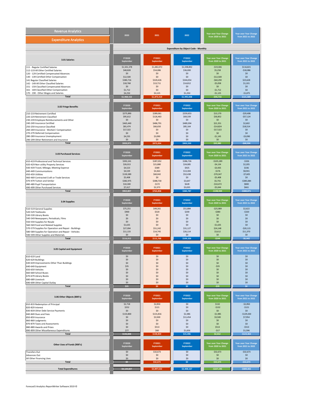<span id="page-7-0"></span>

| <b>Revenue Analytics</b>                                                                                                                                                                                                                                                                                                                                    | 2020                                                                                                              | 2021                                                                                                          | 2022                                                                                                     | <b>Year over Year Change</b>                                                                                                                 | <b>Year over Year Change</b>                                                                                                                  |  |
|-------------------------------------------------------------------------------------------------------------------------------------------------------------------------------------------------------------------------------------------------------------------------------------------------------------------------------------------------------------|-------------------------------------------------------------------------------------------------------------------|---------------------------------------------------------------------------------------------------------------|----------------------------------------------------------------------------------------------------------|----------------------------------------------------------------------------------------------------------------------------------------------|-----------------------------------------------------------------------------------------------------------------------------------------------|--|
| <b>Expenditure Analytics</b>                                                                                                                                                                                                                                                                                                                                |                                                                                                                   |                                                                                                               |                                                                                                          | from 2020 to 2021                                                                                                                            | from 2021 to 2022                                                                                                                             |  |
|                                                                                                                                                                                                                                                                                                                                                             | <b>Expenditure by Object Code - Monthly</b>                                                                       |                                                                                                               |                                                                                                          |                                                                                                                                              |                                                                                                                                               |  |
| 3.01 Salaries                                                                                                                                                                                                                                                                                                                                               | FY2020                                                                                                            | FY2021                                                                                                        | FY2022                                                                                                   | Year over Year Change                                                                                                                        | <b>Year over Year Change</b>                                                                                                                  |  |
|                                                                                                                                                                                                                                                                                                                                                             | September                                                                                                         | September                                                                                                     | September                                                                                                | from 2020 to 2021                                                                                                                            | from 2021 to 2022                                                                                                                             |  |
| 111 - Regular Certified Salaries                                                                                                                                                                                                                                                                                                                            | \$1,501,378                                                                                                       | \$1,482,072                                                                                                   | \$1,598,892                                                                                              | $-$19,306$                                                                                                                                   | \$116,821                                                                                                                                     |  |
| 112-119 All Other Certified Salaries                                                                                                                                                                                                                                                                                                                        | \$48,828                                                                                                          | \$54,086                                                                                                      | \$36,000                                                                                                 | \$5,258                                                                                                                                      | $-$18,086$                                                                                                                                    |  |
| 120 - 129 Certified Compensated Absences                                                                                                                                                                                                                                                                                                                    | \$0                                                                                                               | \$0                                                                                                           | \$0                                                                                                      | \$0                                                                                                                                          | \$0                                                                                                                                           |  |
| 130 - 139 Certified Other Compensation                                                                                                                                                                                                                                                                                                                      | \$12,500                                                                                                          | \$0                                                                                                           | \$0                                                                                                      | $-$12,500$                                                                                                                                   | \$0                                                                                                                                           |  |
| 141 Regular Classified Salaries                                                                                                                                                                                                                                                                                                                             | \$380,716                                                                                                         | \$320,426                                                                                                     | \$344,054                                                                                                | $-$60,290$                                                                                                                                   | \$23,628                                                                                                                                      |  |
| 142 - 149 All Other Classified Salaries                                                                                                                                                                                                                                                                                                                     | \$18,768                                                                                                          | \$13,711                                                                                                      | \$14,812                                                                                                 | $-$5,058$                                                                                                                                    | \$1,101                                                                                                                                       |  |
| 151 - 159 Classified Compensated Absences                                                                                                                                                                                                                                                                                                                   | \$0                                                                                                               | \$0                                                                                                           | \$0                                                                                                      | \$0                                                                                                                                          | \$0                                                                                                                                           |  |
| 161 - 169 Classified Other Compensation                                                                                                                                                                                                                                                                                                                     | \$1,712                                                                                                           | \$0                                                                                                           | \$0                                                                                                      | $-$1,712$                                                                                                                                    | \$0                                                                                                                                           |  |
| 170 - 190 - Other Wages and Salaries                                                                                                                                                                                                                                                                                                                        | \$4,250                                                                                                           | \$3,125                                                                                                       | \$1,250                                                                                                  | $-$1,125$                                                                                                                                    | $-$1,875$                                                                                                                                     |  |
| <b>Total</b>                                                                                                                                                                                                                                                                                                                                                | \$1,968,152                                                                                                       | \$1,873,419                                                                                                   | \$1,995,008                                                                                              | \$94,733                                                                                                                                     | \$121,589                                                                                                                                     |  |
| 3.02 Fringe Benefits<br>210-219 Retirement Certified<br>220-229 Retirement Classified<br>230-239 Employee Reimbursements and Other<br>240-249 Insurance Certified<br>250-259 Insurance Classified<br>260-269 Insurance - Workers' Compensation<br>270-279 Deferred Compensation<br>280-289 Insurance Unemployment<br>290-299 Other Retirement and Insurance | FY2020<br>September<br>\$275,890<br>\$95,612<br>\$0<br>\$465,440<br>\$81,474<br>\$17,322<br>\$0<br>\$4,235<br>\$0 | FY2021<br>September<br>\$289,061<br>\$126,463<br>\$0<br>\$486,791<br>\$66,650<br>\$0<br>\$0<br>\$3,090<br>\$0 | FY2022<br>September<br>\$259,653<br>\$69,339<br>\$0<br>\$489,394<br>\$85,164<br>\$0<br>\$0<br>\$0<br>\$0 | Year over Year Change<br>from 2020 to 2021<br>\$13,170<br>\$30,852<br>\$0<br>\$21,351<br>$-$14,824$<br>$-$17,322$<br>\$0<br>$-$1,145$<br>\$0 | <b>Year over Year Change</b><br>from 2021 to 2022<br>$-$29,408$<br>$-$57,124$<br>\$0<br>\$2,602<br>\$18,514<br>\$0<br>\$0<br>$-$3,090$<br>\$0 |  |
| <b>Total</b><br>3.03 Purchased Services                                                                                                                                                                                                                                                                                                                     | \$939,973<br>FY2020<br>September                                                                                  | \$972,054<br>FY2021<br>September                                                                              | \$903,550<br>FY2022<br>September                                                                         | \$32.08<br>Year over Year Change<br>from 2020 to 2021                                                                                        | $-568,504$<br>Year over Year Change<br>from 2021 to 2022                                                                                      |  |
| 410-419 Professional and Technical Services                                                                                                                                                                                                                                                                                                                 | \$392,241                                                                                                         | \$287,052                                                                                                     | \$286,726                                                                                                | $-$105,189$                                                                                                                                  | $-$ \$326                                                                                                                                     |  |
| 420-429 Non-utility Property Services                                                                                                                                                                                                                                                                                                                       | \$26,013                                                                                                          | \$21,880                                                                                                      | \$24,085                                                                                                 | $-$4,134$                                                                                                                                    | \$2,205                                                                                                                                       |  |
| 430-439 Travel, Mileage, Meeting Expense                                                                                                                                                                                                                                                                                                                    | \$4,523                                                                                                           | \$589                                                                                                         | \$925                                                                                                    | $-$3,935$                                                                                                                                    | \$336                                                                                                                                         |  |
| 440-449 Communications                                                                                                                                                                                                                                                                                                                                      | \$4,539                                                                                                           | \$4,363                                                                                                       | \$13,304                                                                                                 | $-$176$                                                                                                                                      | \$8,941                                                                                                                                       |  |
| 450-459 Utilities                                                                                                                                                                                                                                                                                                                                           | \$130,389                                                                                                         | \$60,042                                                                                                      | \$52,438                                                                                                 | $-$70,347$                                                                                                                                   | $-$7,605$                                                                                                                                     |  |
| 460-469 Contracted Craft or Trade Services                                                                                                                                                                                                                                                                                                                  | \$5,408                                                                                                           | \$0                                                                                                           | \$0                                                                                                      | $-$5,408$                                                                                                                                    | \$0                                                                                                                                           |  |
| 470-479 Tuition and Similar                                                                                                                                                                                                                                                                                                                                 | \$382,975                                                                                                         | \$388,730                                                                                                     | \$3,647                                                                                                  | \$5,755                                                                                                                                      | $-$385,084$                                                                                                                                   |  |
| 480-489 Pupil Transportation                                                                                                                                                                                                                                                                                                                                | \$10,300                                                                                                          | $-$172$                                                                                                       | \$628                                                                                                    | $-$10,472$                                                                                                                                   | \$800                                                                                                                                         |  |
| 490-499 Other Purchased Services                                                                                                                                                                                                                                                                                                                            | \$7,417                                                                                                           | \$2,373                                                                                                       | \$3,035                                                                                                  | $-$5,044$                                                                                                                                    | \$661                                                                                                                                         |  |
| <b>Total</b>                                                                                                                                                                                                                                                                                                                                                | \$963,807                                                                                                         | \$764,858                                                                                                     | \$384,787                                                                                                | \$198,949                                                                                                                                    | -\$380,071                                                                                                                                    |  |
| 3.04 Supplies                                                                                                                                                                                                                                                                                                                                               | FY2020                                                                                                            | FY2021                                                                                                        | FY2022                                                                                                   | Year over Year Change                                                                                                                        | <b>Year over Year Change</b>                                                                                                                  |  |
|                                                                                                                                                                                                                                                                                                                                                             | September                                                                                                         | September                                                                                                     | September                                                                                                | from 2020 to 2021                                                                                                                            | from 2021 to 2022                                                                                                                             |  |
| 510-519 General Supplies                                                                                                                                                                                                                                                                                                                                    | \$75,251                                                                                                          | \$49,261                                                                                                      | \$51,884                                                                                                 | $-$25,989$                                                                                                                                   | \$2,622                                                                                                                                       |  |
| 520-529 Textbooks                                                                                                                                                                                                                                                                                                                                           | \$900                                                                                                             | \$520                                                                                                         | \$200                                                                                                    | $-$380$                                                                                                                                      | $-$320$                                                                                                                                       |  |
| 530-539 Library Books                                                                                                                                                                                                                                                                                                                                       | \$0                                                                                                               | \$0                                                                                                           | \$0                                                                                                      | \$0                                                                                                                                          | \$0                                                                                                                                           |  |
| 540-549 Newspapers, Periodicals, Films                                                                                                                                                                                                                                                                                                                      | \$0                                                                                                               | \$0                                                                                                           | \$0                                                                                                      | \$0                                                                                                                                          | \$0                                                                                                                                           |  |
| 550-559 Supplies for Resale                                                                                                                                                                                                                                                                                                                                 | \$0                                                                                                               | \$0                                                                                                           | \$0                                                                                                      | \$0                                                                                                                                          | \$0                                                                                                                                           |  |
| 560-569 Food and Related Supplies                                                                                                                                                                                                                                                                                                                           | \$1,635                                                                                                           | \$0                                                                                                           | \$0                                                                                                      | $-$1,635$                                                                                                                                    | \$0                                                                                                                                           |  |
| 570-579 Supplies for Operation and Repair - Buildings                                                                                                                                                                                                                                                                                                       | \$27,094                                                                                                          | \$51,242                                                                                                      | \$31,127                                                                                                 | \$24,148                                                                                                                                     | $-$20,115$                                                                                                                                    |  |
| 580-589 Supplies for Operation and Repair - Vehicles                                                                                                                                                                                                                                                                                                        | \$11,133                                                                                                          | \$14,745                                                                                                      | \$26,114                                                                                                 | \$3,612                                                                                                                                      | \$11,370                                                                                                                                      |  |
| 590-599 Other Supplies and Materials                                                                                                                                                                                                                                                                                                                        | \$0                                                                                                               | \$0                                                                                                           | \$0                                                                                                      | \$0                                                                                                                                          | \$0                                                                                                                                           |  |
| <b>Total</b>                                                                                                                                                                                                                                                                                                                                                | \$116,012                                                                                                         | \$115,768                                                                                                     | \$109,326                                                                                                | \$244                                                                                                                                        | $-56.442$                                                                                                                                     |  |
| 3.05 Capital and Equipment                                                                                                                                                                                                                                                                                                                                  | <b>FY2020</b>                                                                                                     | FY2021                                                                                                        | <b>FY2022</b>                                                                                            | Year over Year Change                                                                                                                        | Year over Year Change                                                                                                                         |  |
|                                                                                                                                                                                                                                                                                                                                                             | September                                                                                                         | September                                                                                                     | September                                                                                                | from 2020 to 2021                                                                                                                            | from 2021 to 2022                                                                                                                             |  |
| 610-619 Land                                                                                                                                                                                                                                                                                                                                                | \$0                                                                                                               | \$0                                                                                                           | \$0                                                                                                      | \$0                                                                                                                                          | \$0                                                                                                                                           |  |
| 620-629 Buildings                                                                                                                                                                                                                                                                                                                                           | \$0                                                                                                               | \$0                                                                                                           | \$0                                                                                                      | \$0                                                                                                                                          | \$0                                                                                                                                           |  |
| 630-639 Improvements Other Than Buildings                                                                                                                                                                                                                                                                                                                   | \$0                                                                                                               | \$0                                                                                                           | \$0                                                                                                      | \$0                                                                                                                                          | \$0                                                                                                                                           |  |
| 640-649 Equipment                                                                                                                                                                                                                                                                                                                                           | \$35                                                                                                              | \$0                                                                                                           | \$0                                                                                                      | $-535$                                                                                                                                       | \$0                                                                                                                                           |  |
| 650-659 Vehicles                                                                                                                                                                                                                                                                                                                                            | \$0                                                                                                               | \$0                                                                                                           | \$0                                                                                                      | \$0                                                                                                                                          | \$0                                                                                                                                           |  |
| 660-669 School Buses                                                                                                                                                                                                                                                                                                                                        | \$0                                                                                                               | \$0                                                                                                           | \$0                                                                                                      | \$0                                                                                                                                          | \$0                                                                                                                                           |  |
| 670-679 Library Books                                                                                                                                                                                                                                                                                                                                       | \$0                                                                                                               | \$0                                                                                                           | \$0                                                                                                      | \$0                                                                                                                                          | \$0                                                                                                                                           |  |
| 680-689 Livestock                                                                                                                                                                                                                                                                                                                                           | \$0                                                                                                               | \$0                                                                                                           | \$0                                                                                                      | \$0                                                                                                                                          | \$0                                                                                                                                           |  |
| 690-699 Other Capital Outlay                                                                                                                                                                                                                                                                                                                                | \$0                                                                                                               | \$0                                                                                                           | \$0                                                                                                      | \$0                                                                                                                                          | \$0                                                                                                                                           |  |
| <b>Total</b>                                                                                                                                                                                                                                                                                                                                                | \$35                                                                                                              | \$0                                                                                                           | \$0                                                                                                      | \$35                                                                                                                                         | \$0                                                                                                                                           |  |
| 3.06 Other Objects (800's)                                                                                                                                                                                                                                                                                                                                  | FY2020                                                                                                            | FY2021                                                                                                        | FY2022                                                                                                   | Year over Year Change                                                                                                                        | Year over Year Change                                                                                                                         |  |
|                                                                                                                                                                                                                                                                                                                                                             | September                                                                                                         | September                                                                                                     | September                                                                                                | from 2020 to 2021                                                                                                                            | from 2021 to 2022                                                                                                                             |  |
| 810-819 Redemption of Principal                                                                                                                                                                                                                                                                                                                             | \$2,718                                                                                                           | \$2,850                                                                                                       | \$0                                                                                                      | \$132                                                                                                                                        | $-$2,850$                                                                                                                                     |  |
| 820-829 Interest                                                                                                                                                                                                                                                                                                                                            | \$252                                                                                                             | \$121                                                                                                         | \$0                                                                                                      | $-$132$                                                                                                                                      | $-$121$                                                                                                                                       |  |
| 830-839 Other Debt Service Payments                                                                                                                                                                                                                                                                                                                         | \$0                                                                                                               | \$0                                                                                                           | \$0                                                                                                      | \$0                                                                                                                                          | \$0                                                                                                                                           |  |
| 840-849 Dues and Fees                                                                                                                                                                                                                                                                                                                                       | \$133,800                                                                                                         | \$131,816                                                                                                     | \$2,386                                                                                                  | $-$1,985$                                                                                                                                    | $-$129,430$                                                                                                                                   |  |
| 850-859 Insurance                                                                                                                                                                                                                                                                                                                                           | \$0                                                                                                               | \$3,500                                                                                                       | \$11,454                                                                                                 | \$3,500                                                                                                                                      | \$7,954                                                                                                                                       |  |
| 860-869 Judgments                                                                                                                                                                                                                                                                                                                                           | \$0                                                                                                               | \$0                                                                                                           | \$0                                                                                                      | \$0                                                                                                                                          | \$0                                                                                                                                           |  |
| 870-879 Taxes and Assessments                                                                                                                                                                                                                                                                                                                               | \$0                                                                                                               | \$0                                                                                                           | \$0                                                                                                      | \$0                                                                                                                                          | \$0                                                                                                                                           |  |
| 880-889 Awards and Prizes                                                                                                                                                                                                                                                                                                                                   | \$0                                                                                                               | \$513                                                                                                         | \$0                                                                                                      | \$513                                                                                                                                        | $-$513$                                                                                                                                       |  |
| 890-899 Other Miscellaneous Expenditures                                                                                                                                                                                                                                                                                                                    | \$77                                                                                                              | \$60                                                                                                          | \$1,656                                                                                                  | $-517$                                                                                                                                       | \$1,596                                                                                                                                       |  |
| <b>Total</b>                                                                                                                                                                                                                                                                                                                                                | \$136,848                                                                                                         | \$138,859                                                                                                     | \$15,496                                                                                                 | ¢ን ሰ1:                                                                                                                                       | \$123,363                                                                                                                                     |  |
| Other Uses of Funds (900's)<br><b>Transfers Out</b>                                                                                                                                                                                                                                                                                                         | FY2020<br>September<br>\$0                                                                                        | FY2021<br>September<br>\$32,673                                                                               | FY2022<br>September<br>\$0                                                                               | Year over Year Change<br>from 2020 to 2021<br>\$32,673                                                                                       | <b>Year over Year Change</b><br>from 2021 to 2022<br>$-$32,673$                                                                               |  |
| Advances Out                                                                                                                                                                                                                                                                                                                                                | \$0                                                                                                               | \$0                                                                                                           | \$0                                                                                                      | \$0                                                                                                                                          | \$0                                                                                                                                           |  |
| All Other Financing Uses                                                                                                                                                                                                                                                                                                                                    | \$0                                                                                                               | \$0                                                                                                           | \$0                                                                                                      | \$0                                                                                                                                          | \$0                                                                                                                                           |  |
| <b>Total</b>                                                                                                                                                                                                                                                                                                                                                | \$0                                                                                                               | \$32,673                                                                                                      | \$0                                                                                                      | \$32,673                                                                                                                                     | $-$32,673$                                                                                                                                    |  |
| <b>Total Expenditures</b>                                                                                                                                                                                                                                                                                                                                   | \$4,124,827                                                                                                       | \$3,897,632                                                                                                   | \$3,408,167                                                                                              | $-$ \$227,195                                                                                                                                | $-5489,465$                                                                                                                                   |  |
|                                                                                                                                                                                                                                                                                                                                                             |                                                                                                                   |                                                                                                               |                                                                                                          |                                                                                                                                              |                                                                                                                                               |  |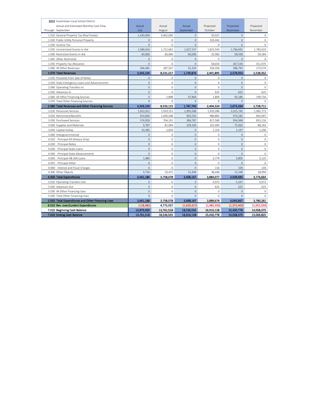| 2022 Austintown Local School District             |                |                     |                     |                     |                |              |
|---------------------------------------------------|----------------|---------------------|---------------------|---------------------|----------------|--------------|
| Actual and Estimated Monthly Cash Flow            | Actual         | Actual              | Actual              | Projected           | Projected      | Projected    |
| Through: September                                | July           | August              | September           | October             | November       | December     |
| 1.010 General Property Tax (Real Estate)          | 1,430,000      | 6,462,000           | $\overline{0}$      | 50.921              | $\mathbf{0}$   | $\mathbf{0}$ |
| 1.020 Public Utility Personal Property            | $\mathbf{0}$   | $\circ$             | $\overline{0}$      | 103,442             | $\mathbf{0}$   | $\circ$      |
| 1.030 Income Tax                                  | $\overline{0}$ | $\mathbf 0$         | $\overline{0}$      | $\circ$             | $\overline{0}$ | $\mathbf 0$  |
| 1.035 Unrestricted Grants-in-Aid                  | 1,586,616      | 1,721,663           | 1,637,537           | 1,821,543           | 1,766,692      | 1,783,619    |
| 1.040 Restricted Grants-in-Aid                    | 60,006         | 60,006              | 60,006              | 32,983              | 58,438         | 59,184       |
| 1.045 Other Restricted                            | $\Omega$       | $\Omega$            | $\circ$             | $\circ$             | $\mathbf{0}$   | $\Omega$     |
| 1.050 Property Tax Allocation                     | $\overline{0}$ | $\mathbf 0$         | $\overline{0}$      | 58,650              | 367,530        | 411,975      |
| 1.060 All Other Revenues                          | 266,481        | 287,547             | 42,333              | 334,356             | 386,793        | 273,574      |
| 1.070 Total Revenues                              | 3,343,104      | 8,531,217           | 1,739,876           | 2,401,895           | 2,579,453      | 2,528,352    |
| 2.010 Proceeds from Sale of Notes                 | $\mathbf{0}$   | $\mathbf 0$         | $\mathbf{0}$        | 0                   | $\mathbf{0}$   | $\mathbb O$  |
| 2.020 State Emergency Loans and Advancements      | $\overline{0}$ | $\mathbf 0$         | $\overline{0}$      | $\mathbf 0$         | $\mathbf{0}$   | $\circ$      |
| 2.040 Operating Transfers-In.                     | $\mathbf{0}$   | $\mathbf 0$         | $\overline{0}$      | $\mathbf 0$         | $\mathbf{0}$   | $\mathbb O$  |
| 2.050 Advances-In                                 | $\overline{0}$ | $\mathbf 0$         | $\overline{0}$      | 625                 | 625            | 625          |
| 2.060 All Other Financing Sources                 | $\mathbf{0}$   | 1,898               | 47,864              | 1,804               | 93,186         | 199,734      |
| 2.070 Total Other Financing Sources               | $\mathbf{0}$   | $\mathbf 0$         | $\overline{0}$      | $\circ$             | $\mathbf{0}$   | $\circ$      |
| 2.080 Total Revenues and Other Financing Sources  | 3,343,104      | 8,533,115           | 1,787,740           | 2,404,324           | 2,673,264      | 2,728,711    |
| 3.010 Personnel Services                          | 1,922,012      | 1,919,151           | 1,995,008           | 1,933,096           | 2,015,745      | 1,965,772    |
| 3.020 Retirement/Benefits                         | 914,830        | 1,040,508           | 903,550             | 986,865             | 974,282        | 842,097      |
| 3.030 Purchased Services                          | 574,950        | 704,191             | 384,787             | 817,580             | 954,948        | 853,116      |
| 3.040 Supplies and Materials                      | 9,787          | 81,094              | 109,326             | 101,093             | 75,062         | 88,165       |
| 3.050 Capital Outlay                              | 33,385         | 2,659               | $\mathbf{0}$        | 1,103               | 1,197          | 1,290        |
| 3.060 Intergovernmental                           | $\mathbf{0}$   | $\circ$             | $\overline{0}$      | $\circ$             | $\mathbf{0}$   | $\mathbb O$  |
| Principal-All (History Only)<br>4.010             | $\mathbf{0}$   | $\mathbf 0$         | $\overline{0}$      | $\mathbf 0$         | $\mathbf{0}$   | $\mathbb O$  |
| 4.020<br>Principal-Notes                          | $\mathbf{0}$   | $\circ$             | $\mathbf{0}$        | $\circ$             | 0              | 0            |
| 4.030<br>Principal-State Loans                    | $\overline{0}$ | $\mathbf 0$         | $\overline{0}$      | $\mathbf 0$         | $\overline{0}$ | $\mathbb O$  |
| 4.040<br>Principal-State Advancements             | $\overline{0}$ | $\mathbf 0$         | $\overline{0}$      | $\mathbf 0$         | $\overline{0}$ | $\mathbb O$  |
| 4.050<br>Principal-HB 264 Loans                   | 1,480          | $\mathbf 0$         | $\overline{0}$      | 5,779               | 5,805          | 5,125        |
| 4.055<br>Principal-Other                          | $\mathbf{0}$   | $\mathbf 0$         | $\overline{0}$      | $\mathsf{O}\xspace$ | 0              | $\mathbb O$  |
| Interest and Fiscal Charges<br>4.060              | 6              | $\Omega$            | $\Omega$            | 116                 | 109            | 104          |
| 4.300 Other Objects                               | 4,736          | 10,475              | 15,496              | 38,446              | 12,548         | 18,994       |
| 4.500 Total Expenditures                          | 3,461,186      | 3,758,078           | 3,408,167           | 3,884,077           | 4,039,695      | 3,774,664    |
| 5.010 Operating Transfers-Out                     | $\mathbb O$    | 0                   | 0                   | 4,972               | 5,347          | 4,972        |
| 5.020 Advances-Out                                | $\mathbf{0}$   | $\Omega$            | $\mathbf{0}$        | 625                 | 625            | 625          |
| 5.030 All Other Financing Uses                    | $\mathbf 0$    | $\mathsf{O}\xspace$ | $\mathsf{O}\xspace$ | $\mathbb O$         | $\mathbf 0$    | $\mathbb O$  |
| 5.040 Total Other Financing Uses                  | $\Omega$       | $\Omega$            | $\Omega$            | $\Omega$            | $\Omega$       | $\Omega$     |
| 5.050 Total Expenditures and Other Financing Uses | 3,461,186      | 3,758,078           | 3,408,167           | 3,889,674           | 4,045,667      | 3,780,261    |
| 6.010 Rev. over/(under) Expenditures              | (118,082)      | 4,775,037           | (1,620,427)         | (1,485,350)         | (1,372,403)    | (1,051,550)  |
| 7.010 Beginning Cash Balance                      | 13,879,600     | 13,761,518          | 18,536,555          | 16,916,128          | 15,430,778     | 14,058,375   |
| 7.020 Ending Cash Balance                         | 13,761,518     | 18,536,555          | 16,916,128          | 15,430,778          | 14,058,375     | 13,006,825   |